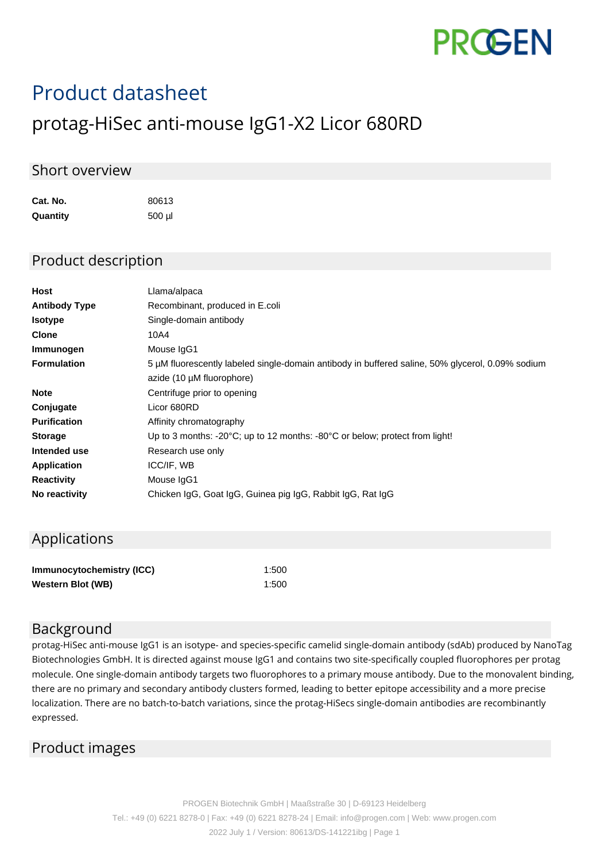

# Product datasheet

## protag-HiSec anti-mouse IgG1-X2 Licor 680RD

#### Short overview

**Cat. No.** 80613 **Quantity** 500 µl

#### Product description

| <b>Host</b>          | Llama/alpaca                                                                                     |
|----------------------|--------------------------------------------------------------------------------------------------|
| <b>Antibody Type</b> | Recombinant, produced in E.coli                                                                  |
| <b>Isotype</b>       | Single-domain antibody                                                                           |
| <b>Clone</b>         | 10A4                                                                                             |
| Immunogen            | Mouse IgG1                                                                                       |
| <b>Formulation</b>   | 5 µM fluorescently labeled single-domain antibody in buffered saline, 50% glycerol, 0.09% sodium |
|                      | azide (10 µM fluorophore)                                                                        |
| <b>Note</b>          | Centrifuge prior to opening                                                                      |
| Conjugate            | Licor 680RD                                                                                      |
| <b>Purification</b>  | Affinity chromatography                                                                          |
| <b>Storage</b>       | Up to 3 months: -20 $\degree$ C; up to 12 months: -80 $\degree$ C or below; protect from light!  |
| Intended use         | Research use only                                                                                |
| Application          | ICC/IF, WB                                                                                       |
| <b>Reactivity</b>    | Mouse IgG1                                                                                       |
| No reactivity        | Chicken IgG, Goat IgG, Guinea pig IgG, Rabbit IgG, Rat IgG                                       |
|                      |                                                                                                  |

### Applications

| Immunocytochemistry (ICC) | 1:500 |
|---------------------------|-------|
| <b>Western Blot (WB)</b>  | 1:500 |

#### Background

protag-HiSec anti-mouse IgG1 is an isotype- and species-specific camelid single-domain antibody (sdAb) produced by NanoTag Biotechnologies GmbH. It is directed against mouse IgG1 and contains two site-specifically coupled fluorophores per protag molecule. One single-domain antibody targets two fluorophores to a primary mouse antibody. Due to the monovalent binding, there are no primary and secondary antibody clusters formed, leading to better epitope accessibility and a more precise localization. There are no batch-to-batch variations, since the protag-HiSecs single-domain antibodies are recombinantly expressed.

#### Product images